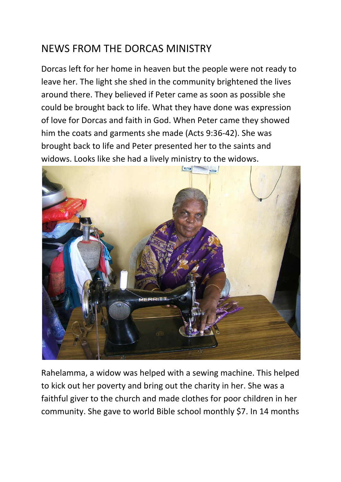## NEWS FROM THE DORCAS MINISTRY

Dorcas left for her home in heaven but the people were not ready to leave her. The light she shed in the community brightened the lives around there. They believed if Peter came as soon as possible she could be brought back to life. What they have done was expression of love for Dorcas and faith in God. When Peter came they showed him the coats and garments she made (Acts 9:36-42). She was brought back to life and Peter presented her to the saints and widows. Looks like she had a lively ministry to the widows.



Rahelamma, a widow was helped with a sewing machine. This helped to kick out her poverty and bring out the charity in her. She was a faithful giver to the church and made clothes for poor children in her community. She gave to world Bible school monthly \$7. In 14 months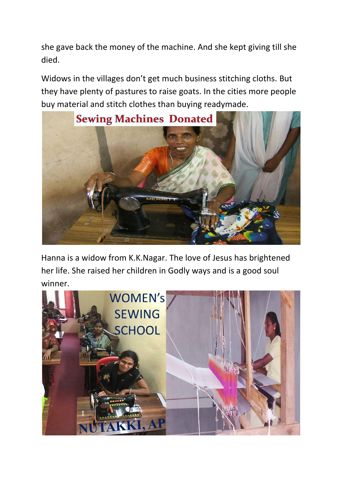she gave back the money of the machine. And she kept giving till she died.

Widows in the villages don't get much business stitching cloths. But they have plenty of pastures to raise goats. In the cities more people buy material and stitch clothes than buying readymade.



Hanna is a widow from K.K.Nagar. The love of Jesus has brightened her life. She raised her children in Godly ways and is a good soul winner.

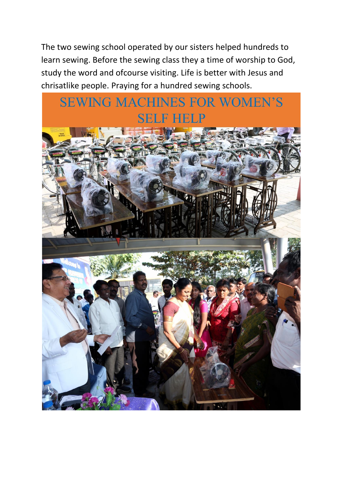The two sewing school operated by our sisters helped hundreds to learn sewing. Before the sewing class they a time of worship to God, study the word and ofcourse visiting. Life is better with Jesus and chrisatlike people. Praying for a hundred sewing schools.